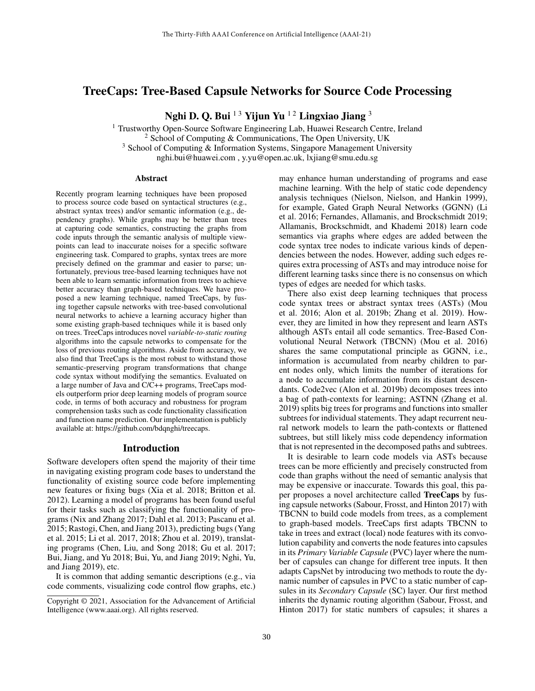# TreeCaps: Tree-Based Capsule Networks for Source Code Processing

Nghi D. Q. Bui  $13$  Yijun Yu  $12$  Lingxiao Jiang 3

<sup>1</sup> Trustworthy Open-Source Software Engineering Lab, Huawei Research Centre, Ireland <sup>2</sup> School of Computing & Communications, The Open University, UK

<sup>3</sup> School of Computing & Information Systems, Singapore Management University

nghi.bui@huawei.com , y.yu@open.ac.uk, lxjiang@smu.edu.sg

#### Abstract

Recently program learning techniques have been proposed to process source code based on syntactical structures (e.g., abstract syntax trees) and/or semantic information (e.g., dependency graphs). While graphs may be better than trees at capturing code semantics, constructing the graphs from code inputs through the semantic analysis of multiple viewpoints can lead to inaccurate noises for a specific software engineering task. Compared to graphs, syntax trees are more precisely defined on the grammar and easier to parse; unfortunately, previous tree-based learning techniques have not been able to learn semantic information from trees to achieve better accuracy than graph-based techniques. We have proposed a new learning technique, named TreeCaps, by fusing together capsule networks with tree-based convolutional neural networks to achieve a learning accuracy higher than some existing graph-based techniques while it is based only on trees. TreeCaps introduces novel *variable-to-static routing* algorithms into the capsule networks to compensate for the loss of previous routing algorithms. Aside from accuracy, we also find that TreeCaps is the most robust to withstand those semantic-preserving program transformations that change code syntax without modifying the semantics. Evaluated on a large number of Java and C/C++ programs, TreeCaps models outperform prior deep learning models of program source code, in terms of both accuracy and robustness for program comprehension tasks such as code functionality classification and function name prediction. Our implementation is publicly available at: https://github.com/bdqnghi/treecaps.

# Introduction

Software developers often spend the majority of their time in navigating existing program code bases to understand the functionality of existing source code before implementing new features or fixing bugs (Xia et al. 2018; Britton et al. 2012). Learning a model of programs has been found useful for their tasks such as classifying the functionality of programs (Nix and Zhang 2017; Dahl et al. 2013; Pascanu et al. 2015; Rastogi, Chen, and Jiang 2013), predicting bugs (Yang et al. 2015; Li et al. 2017, 2018; Zhou et al. 2019), translating programs (Chen, Liu, and Song 2018; Gu et al. 2017; Bui, Jiang, and Yu 2018; Bui, Yu, and Jiang 2019; Nghi, Yu, and Jiang 2019), etc.

It is common that adding semantic descriptions (e.g., via code comments, visualizing code control flow graphs, etc.)

may enhance human understanding of programs and ease machine learning. With the help of static code dependency analysis techniques (Nielson, Nielson, and Hankin 1999), for example, Gated Graph Neural Networks (GGNN) (Li et al. 2016; Fernandes, Allamanis, and Brockschmidt 2019; Allamanis, Brockschmidt, and Khademi 2018) learn code semantics via graphs where edges are added between the code syntax tree nodes to indicate various kinds of dependencies between the nodes. However, adding such edges requires extra processing of ASTs and may introduce noise for different learning tasks since there is no consensus on which types of edges are needed for which tasks.

There also exist deep learning techniques that process code syntax trees or abstract syntax trees (ASTs) (Mou et al. 2016; Alon et al. 2019b; Zhang et al. 2019). However, they are limited in how they represent and learn ASTs although ASTs entail all code semantics. Tree-Based Convolutional Neural Network (TBCNN) (Mou et al. 2016) shares the same computational principle as GGNN, i.e., information is accumulated from nearby children to parent nodes only, which limits the number of iterations for a node to accumulate information from its distant descendants. Code2vec (Alon et al. 2019b) decomposes trees into a bag of path-contexts for learning; ASTNN (Zhang et al. 2019) splits big trees for programs and functions into smaller subtrees for individual statements. They adapt recurrent neural network models to learn the path-contexts or flattened subtrees, but still likely miss code dependency information that is not represented in the decomposed paths and subtrees.

It is desirable to learn code models via ASTs because trees can be more efficiently and precisely constructed from code than graphs without the need of semantic analysis that may be expensive or inaccurate. Towards this goal, this paper proposes a novel architecture called TreeCaps by fusing capsule networks (Sabour, Frosst, and Hinton 2017) with TBCNN to build code models from trees, as a complement to graph-based models. TreeCaps first adapts TBCNN to take in trees and extract (local) node features with its convolution capability and converts the node features into capsules in its *Primary Variable Capsule* (PVC) layer where the number of capsules can change for different tree inputs. It then adapts CapsNet by introducing two methods to route the dynamic number of capsules in PVC to a static number of capsules in its *Secondary Capsule* (SC) layer. Our first method inherits the dynamic routing algorithm (Sabour, Frosst, and Hinton 2017) for static numbers of capsules; it shares a

Copyright © 2021, Association for the Advancement of Artificial Intelligence (www.aaai.org). All rights reserved.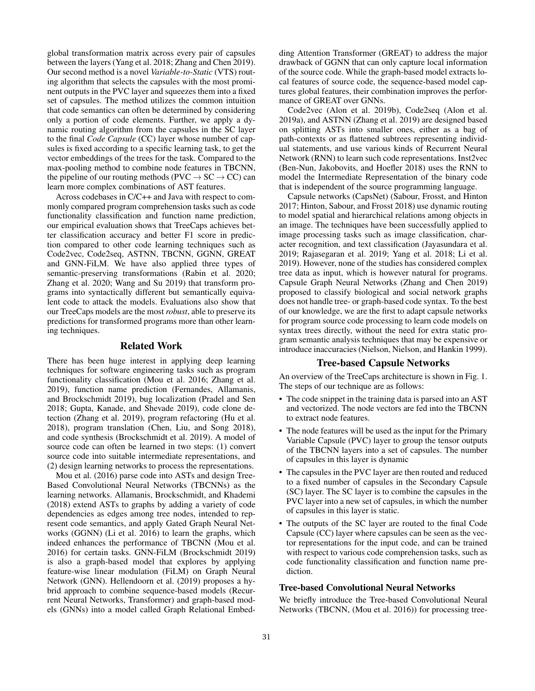global transformation matrix across every pair of capsules between the layers (Yang et al. 2018; Zhang and Chen 2019). Our second method is a novel *Variable-to-Static* (VTS) routing algorithm that selects the capsules with the most prominent outputs in the PVC layer and squeezes them into a fixed set of capsules. The method utilizes the common intuition that code semantics can often be determined by considering only a portion of code elements. Further, we apply a dynamic routing algorithm from the capsules in the SC layer to the final *Code Capsule* (CC) layer whose number of capsules is fixed according to a specific learning task, to get the vector embeddings of the trees for the task. Compared to the max-pooling method to combine node features in TBCNN, the pipeline of our routing methods ( $\text{PVC} \rightarrow \text{SC} \rightarrow \text{CC}$ ) can learn more complex combinations of AST features.

Across codebases in C/C++ and Java with respect to commonly compared program comprehension tasks such as code functionality classification and function name prediction, our empirical evaluation shows that TreeCaps achieves better classification accuracy and better F1 score in prediction compared to other code learning techniques such as Code2vec, Code2seq, ASTNN, TBCNN, GGNN, GREAT and GNN-FiLM. We have also applied three types of semantic-preserving transformations (Rabin et al. 2020; Zhang et al. 2020; Wang and Su 2019) that transform programs into syntactically different but semantically equivalent code to attack the models. Evaluations also show that our TreeCaps models are the most *robust*, able to preserve its predictions for transformed programs more than other learning techniques.

### Related Work

There has been huge interest in applying deep learning techniques for software engineering tasks such as program functionality classification (Mou et al. 2016; Zhang et al. 2019), function name prediction (Fernandes, Allamanis, and Brockschmidt 2019), bug localization (Pradel and Sen 2018; Gupta, Kanade, and Shevade 2019), code clone detection (Zhang et al. 2019), program refactoring (Hu et al. 2018), program translation (Chen, Liu, and Song 2018), and code synthesis (Brockschmidt et al. 2019). A model of source code can often be learned in two steps: (1) convert source code into suitable intermediate representations, and (2) design learning networks to process the representations.

Mou et al. (2016) parse code into ASTs and design Tree-Based Convolutional Neural Networks (TBCNNs) as the learning networks. Allamanis, Brockschmidt, and Khademi (2018) extend ASTs to graphs by adding a variety of code dependencies as edges among tree nodes, intended to represent code semantics, and apply Gated Graph Neural Networks (GGNN) (Li et al. 2016) to learn the graphs, which indeed enhances the performance of TBCNN (Mou et al. 2016) for certain tasks. GNN-FiLM (Brockschmidt 2019) is also a graph-based model that explores by applying feature-wise linear modulation (FiLM) on Graph Neural Network (GNN). Hellendoorn et al. (2019) proposes a hybrid approach to combine sequence-based models (Recurrent Neural Networks, Transformer) and graph-based models (GNNs) into a model called Graph Relational Embedding Attention Transformer (GREAT) to address the major drawback of GGNN that can only capture local information of the source code. While the graph-based model extracts local features of source code, the sequence-based model captures global features, their combination improves the performance of GREAT over GNNs.

Code2vec (Alon et al. 2019b), Code2seq (Alon et al. 2019a), and ASTNN (Zhang et al. 2019) are designed based on splitting ASTs into smaller ones, either as a bag of path-contexts or as flattened subtrees representing individual statements, and use various kinds of Recurrent Neural Network (RNN) to learn such code representations. Inst2vec (Ben-Nun, Jakobovits, and Hoefler 2018) uses the RNN to model the Intermediate Representation of the binary code that is independent of the source programming language.

Capsule networks (CapsNet) (Sabour, Frosst, and Hinton 2017; Hinton, Sabour, and Frosst 2018) use dynamic routing to model spatial and hierarchical relations among objects in an image. The techniques have been successfully applied to image processing tasks such as image classification, character recognition, and text classification (Jayasundara et al. 2019; Rajasegaran et al. 2019; Yang et al. 2018; Li et al. 2019). However, none of the studies has considered complex tree data as input, which is however natural for programs. Capsule Graph Neural Networks (Zhang and Chen 2019) proposed to classify biological and social network graphs does not handle tree- or graph-based code syntax. To the best of our knowledge, we are the first to adapt capsule networks for program source code processing to learn code models on syntax trees directly, without the need for extra static program semantic analysis techniques that may be expensive or introduce inaccuracies (Nielson, Nielson, and Hankin 1999).

### Tree-based Capsule Networks

An overview of the TreeCaps architecture is shown in Fig. 1. The steps of our technique are as follows:

- The code snippet in the training data is parsed into an AST and vectorized. The node vectors are fed into the TBCNN to extract node features.
- The node features will be used as the input for the Primary Variable Capsule (PVC) layer to group the tensor outputs of the TBCNN layers into a set of capsules. The number of capsules in this layer is dynamic
- The capsules in the PVC layer are then routed and reduced to a fixed number of capsules in the Secondary Capsule (SC) layer. The SC layer is to combine the capsules in the PVC layer into a new set of capsules, in which the number of capsules in this layer is static.
- The outputs of the SC layer are routed to the final Code Capsule (CC) layer where capsules can be seen as the vector representations for the input code, and can be trained with respect to various code comprehension tasks, such as code functionality classification and function name prediction.

# Tree-based Convolutional Neural Networks

We briefly introduce the Tree-based Convolutional Neural Networks (TBCNN, (Mou et al. 2016)) for processing tree-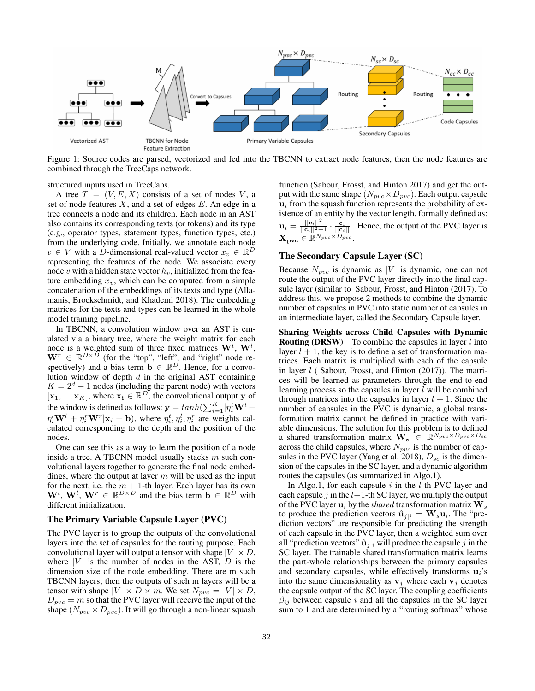

Figure 1: Source codes are parsed, vectorized and fed into the TBCNN to extract node features, then the node features are combined through the TreeCaps network.

structured inputs used in TreeCaps.

A tree  $T = (V, E, X)$  consists of a set of nodes V, a set of node features  $X$ , and a set of edges  $E$ . An edge in a tree connects a node and its children. Each node in an AST also contains its corresponding texts (or tokens) and its type (e.g., operator types, statement types, function types, etc.) from the underlying code. Initially, we annotate each node  $v \in V$  with a D-dimensional real-valued vector  $x_v \in \mathbb{R}^D$ representing the features of the node. We associate every node v with a hidden state vector  $h<sub>v</sub>$ , initialized from the feature embedding  $x_v$ , which can be computed from a simple concatenation of the embeddings of its texts and type (Allamanis, Brockschmidt, and Khademi 2018). The embedding matrices for the texts and types can be learned in the whole model training pipeline.

In TBCNN, a convolution window over an AST is emulated via a binary tree, where the weight matrix for each node is a weighted sum of three fixed matrices  $W^t$ ,  $W^l$ ,  $\mathbf{W}^r \in \mathbb{R}^{D \times \tilde{D}}$  (for the "top", "left", and "right" node respectively) and a bias term  $\mathbf{b} \in \mathbb{R}^D$ . Hence, for a convolution window of depth  $d$  in the original AST containing  $K = 2<sup>d</sup> - 1$  nodes (including the parent node) with vectors  $[\mathbf{x}_1, ..., \mathbf{x}_K]$ , where  $\mathbf{x_i} \in \mathbb{R}^D$ , the convolutional output y of the window is defined as follows:  $\mathbf{y} = tanh(\sum_{i=1}^{K}[\eta_i^t \mathbf{W}^t +$  $\eta_i^l \mathbf{W}^l + \eta_i^r \mathbf{W}^r] \mathbf{x}_i + \mathbf{b}$ ), where  $\eta_i^t, \eta_i^l, \eta_i^r$  are weights calculated corresponding to the depth and the position of the nodes.

One can see this as a way to learn the position of a node inside a tree. A TBCNN model usually stacks  $m$  such convolutional layers together to generate the final node embeddings, where the output at layer  $m$  will be used as the input for the next, i.e. the  $m + 1$ -th layer. Each layer has its own  $\mathbf{W}^t$ ,  $\mathbf{W}^l$ ,  $\mathbf{W}^r \in \mathbb{R}^{D \times D}$  and the bias term  $\mathbf{b} \in \mathbb{R}^D$  with different initialization.

#### The Primary Variable Capsule Layer (PVC)

The PVC layer is to group the outputs of the convolutional layers into the set of capsules for the routing purpose. Each convolutional layer will output a tensor with shape  $|V| \times D$ , where  $|V|$  is the number of nodes in the AST,  $D$  is the dimension size of the node embedding. There are m such TBCNN layers; then the outputs of such m layers will be a tensor with shape  $|V| \times D \times m$ . We set  $N_{pvc} = |V| \times D$ ,  $D_{pvc} = m$  so that the PVC layer will receive the input of the shape  $(N_{pvc} \times D_{pvc})$ . It will go through a non-linear squash

function (Sabour, Frosst, and Hinton 2017) and get the output with the same shape  $(N_{pvc} \times D_{pvc})$ . Each output capsule  $u_i$  from the squash function represents the probability of existence of an entity by the vector length, formally defined as:  $\mathbf{u}_i = \frac{||\mathbf{c}_i||^2}{||\mathbf{c}_i||^2+1} \cdot \frac{\mathbf{c}_i}{||\mathbf{c}_i||}$ . Hence, the output of the PVC layer is  $\mathbf{X_{pvc}} \in \mathbb{R}^{N_{pvc} \times D_{pvc}}.$ 

# The Secondary Capsule Layer (SC)

Because  $N_{pvc}$  is dynamic as |V| is dynamic, one can not route the output of the PVC layer directly into the final capsule layer (similar to Sabour, Frosst, and Hinton (2017). To address this, we propose 2 methods to combine the dynamic number of capsules in PVC into static number of capsules in an intermediate layer, called the Secondary Capsule layer.

Sharing Weights across Child Capsules with Dynamic **Routing (DRSW)** To combine the capsules in layer  $l$  into layer  $l + 1$ , the key is to define a set of transformation matrices. Each matrix is multiplied with each of the capsule in layer  $l$  (Sabour, Frosst, and Hinton (2017)). The matrices will be learned as parameters through the end-to-end learning process so the capsules in layer  $l$  will be combined through matrices into the capsules in layer  $l + 1$ . Since the number of capsules in the PVC is dynamic, a global transformation matrix cannot be defined in practice with variable dimensions. The solution for this problem is to defined a shared transformation matrix  $\mathbf{W_s} \in \mathbb{R}^{N_{pvc} \times D_{pvc} \times D_{sc}}$ across the child capsules, where  $N_{pvc}$  is the number of capsules in the PVC layer (Yang et al. 2018),  $D_{sc}$  is the dimension of the capsules in the SC layer, and a dynamic algorithm routes the capsules (as summarized in Algo.1).

In Algo.1, for each capsule  $i$  in the  $l$ -th PVC layer and each capsule j in the  $l+1$ -th SC layer, we multiply the output of the PVC layer  $\mathbf{u}_i$  by the *shared* transformation matrix  $\mathbf{W}_s$ to produce the prediction vectors  $\mathbf{\hat{u}}_{j|i} = \mathbf{W}_{s} \mathbf{u}_{i}$ . The "prediction vectors" are responsible for predicting the strength of each capsule in the PVC layer, then a weighted sum over all "prediction vectors"  $\hat{\mathbf{u}}_{j|i}$  will produce the capsule j in the SC layer. The trainable shared transformation matrix learns the part-whole relationships between the primary capsules and secondary capsules, while effectively transforms  $\mathbf{u}_i$ 's into the same dimensionality as  $v_j$  where each  $v_j$  denotes the capsule output of the SC layer. The coupling coefficients  $\beta_{ij}$  between capsule i and all the capsules in the SC layer sum to 1 and are determined by a "routing softmax" whose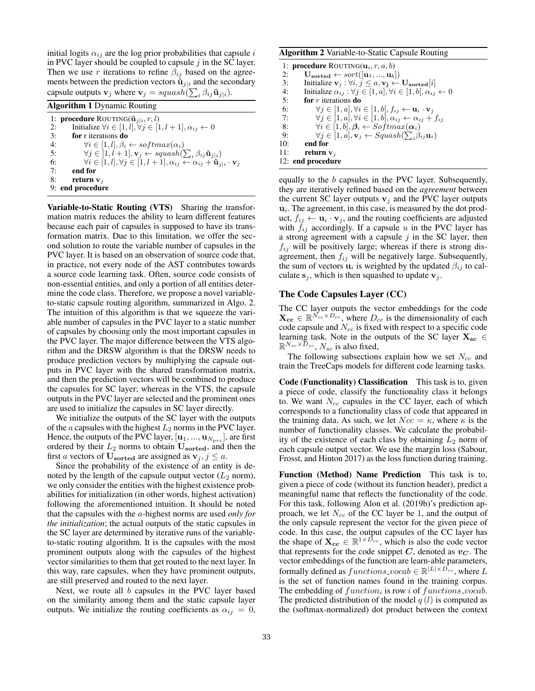initial logits  $\alpha_{ij}$  are the log prior probabilities that capsule i in PVC layer should be coupled to capsule  $j$  in the SC layer. Then we use r iterations to refine  $\beta_{ij}$  based on the agreements between the prediction vectors  $\hat{\mathbf{u}}_{i|i}$  and the secondary capsule outputs  $\mathbf{v}_j$  where  $\mathbf{v}_j = squash(\sum_i \beta_{ij} \hat{\mathbf{u}}_{j|i}).$ 

Algorithm 1 Dynamic Routing

1: **procedure** ROUTING( $\hat{\mathbf{u}}_{j|i}, r, l$ ) 2: Initialize  $\forall i \in [1, l], \forall j \in [1, l + 1], \alpha_{ij} \leftarrow 0$ 3: for r iterations do 4:  $\forall i \in [1, l], \beta_i \leftarrow softmax(\alpha_i)$ <br>5:  $\forall j \in [1, l+1], \mathbf{v}_i \leftarrow squash()$ 5:  $\forall j \in [1, l+1], \mathbf{v}_j \leftarrow squash(\sum_i \beta_{ij} \hat{\mathbf{u}}_{j|i})$ 6:  $\forall i \in [1, l], \forall j \in [1, l+1], \alpha_{ij} \leftarrow \alpha_{ij} + \hat{\mathbf{u}}_{j|i} \cdot \mathbf{v}_j$ 7: end for 8: return  $v_i$ 9: end procedure

Variable-to-Static Routing (VTS) Sharing the transformation matrix reduces the ability to learn different features because each pair of capsules is supposed to have its transformation matrix. Due to this limitation, we offer the second solution to route the variable number of capsules in the PVC layer. It is based on an observation of source code that, in practice, not every node of the AST contributes towards a source code learning task. Often, source code consists of non-essential entities, and only a portion of all entities determine the code class. Therefore, we propose a novel variableto-static capsule routing algorithm, summarized in Algo. 2. The intuition of this algorithm is that we squeeze the variable number of capsules in the PVC layer to a static number of capsules by choosing only the most important capsules in the PVC layer. The major difference between the VTS algorithm and the DRSW algorithm is that the DRSW needs to produce prediction vectors by multiplying the capsule outputs in PVC layer with the shared transformation matrix, and then the prediction vectors will be combined to produce the capsules for SC layer; whereas in the VTS, the capsule outputs in the PVC layer are selected and the prominent ones are used to initialize the capsules in SC layer directly.

We initialize the outputs of the SC layer with the outputs of the *a* capsules with the highest  $L_2$  norms in the PVC layer. Hence, the outputs of the PVC layer,  $[\mathbf{u}_1, ..., \mathbf{u}_{N_{pvc}}]$ , are first ordered by their  $L_2$  norms to obtain  $\mathbf{U_{sorted}}$ , and then the first a vectors of  $\mathbf{U}_{\text{sorted}}$  are assigned as  $\mathbf{v}_i, j \leq a$ .

Since the probability of the existence of an entity is denoted by the length of the capsule output vector  $(L_2 \text{ norm})$ , we only consider the entities with the highest existence probabilities for initialization (in other words, highest activation) following the aforementioned intuition. It should be noted that the capsules with the a-highest norms are used *only for the initialization*; the actual outputs of the static capsules in the SC layer are determined by iterative runs of the variableto-static routing algorithm. It is the capsules with the most prominent outputs along with the capsules of the highest vector similarities to them that get routed to the next layer. In this way, rare capsules, when they have prominent outputs, are still preserved and routed to the next layer.

Next, we route all  $b$  capsules in the PVC layer based on the similarity among them and the static capsule layer outputs. We initialize the routing coefficients as  $\alpha_{ij} = 0$ ,

#### Algorithm 2 Variable-to-Static Capsule Routing

|     | 1: <b>procedure</b> ROUTING( $\mathbf{u}_i$ , r, a, b)                                                 |
|-----|--------------------------------------------------------------------------------------------------------|
| 2:  | $\mathbf{U}_{\text{sorted}} \leftarrow sort([\mathbf{u}_1, , \mathbf{u}_b])$                           |
| 3:  | Initialize $\mathbf{v}_j : \forall i, j \leq a, \mathbf{v}_j \leftarrow \mathbf{U}_{\text{sorted}}[i]$ |
| 4:  | Initialize $\alpha_{ij} : \forall j \in [1, a], \forall i \in [1, b], \alpha_{ij} \leftarrow 0$        |
| 5:  | for $r$ iterations do                                                                                  |
| 6:  | $\forall j \in [1, a], \forall i \in [1, b], f_{ij} \leftarrow \mathbf{u}_i \cdot \mathbf{v}_j$        |
| 7:  | $\forall j \in [1, a], \forall i \in [1, b], \alpha_{ij} \leftarrow \alpha_{ij} + f_{ij}$              |
| 8:  | $\forall i \in [1, b], \beta_i \leftarrow Softmax(\alpha_i)$                                           |
| 9:  | $\forall j \in [1, a], \mathbf{v}_i \leftarrow Squash(\sum_i \beta_{ij} \mathbf{u}_i)$                 |
| 10: | end for                                                                                                |
| 11: | return $v_i$                                                                                           |
|     | 12: end procedure                                                                                      |

equally to the b capsules in the PVC layer. Subsequently, they are iteratively refined based on the *agreement* between the current SC layer outputs  $v_j$  and the PVC layer outputs  $\mathbf{u}_i$ . The agreement, in this case, is measured by the dot product,  $f_{ij} \leftarrow \mathbf{u}_i \cdot \mathbf{v}_j$ , and the routing coefficients are adjusted with  $f_{ij}$  accordingly. If a capsule u in the PVC layer has a strong agreement with a capsule  $j$  in the SC layer, then  $f_{ij}$  will be positively large; whereas if there is strong disagreement, then  $f_{ij}$  will be negatively large. Subsequently, the sum of vectors  $\mathbf{u}_i$  is weighted by the updated  $\beta_{ij}$  to calculate  $s_i$ , which is then squashed to update  $v_i$ .

### The Code Capsules Layer (CC)

The CC layer outputs the vector embeddings for the code  $\mathbf{X_{cc}} \in \mathbb{R}^{N_{cc} \times D_{cc}}$ , where  $D_{cc}$  is the dimensionality of each code capsule and  $N_{cc}$  is fixed with respect to a specific code learning task. Note in the outputs of the SC layer  $\mathbf{X}_{\text{sc}} \in \mathbb{R}^{N_{sc} \times D_{sc}}$ ,  $N_{sc}$  is also fixed,

The following subsections explain how we set  $N_{cc}$  and train the TreeCaps models for different code learning tasks.

Code (Functionality) Classification This task is to, given a piece of code, classify the functionality class it belongs to. We want  $N_{cc}$  capsules in the CC layer, each of which corresponds to a functionality class of code that appeared in the training data. As such, we let  $Ncc = \kappa$ , where  $\kappa$  is the number of functionality classes. We calculate the probability of the existence of each class by obtaining  $L_2$  norm of each capsule output vector. We use the margin loss (Sabour, Frosst, and Hinton 2017) as the loss function during training.

Function (Method) Name Prediction This task is to, given a piece of code (without its function header), predict a meaningful name that reflects the functionality of the code. For this task, following Alon et al. (2019b)'s prediction approach, we let  $N_{cc}$  of the CC layer be 1, and the output of the only capsule represent the vector for the given piece of code. In this case, the output capsules of the CC layer has the shape of  $\mathbf{X_{cc}} \in \mathbb{R}^{1 \times D_{cc}}$ , which is also the code vector that represents for the code snippet  $C$ , denoted as  $v_C$ . The vector embeddings of the function are learn-able parameters, formally defined as  $functions\_vocab \in \mathbb{R}^{|L| \times D_{cc}}$ , where  $L$ is the set of function names found in the training corpus. The embedding of  $function_i$  is row i of  $functions\_vocab$ . The predicted distribution of the model  $q(l)$  is computed as the (softmax-normalized) dot product between the context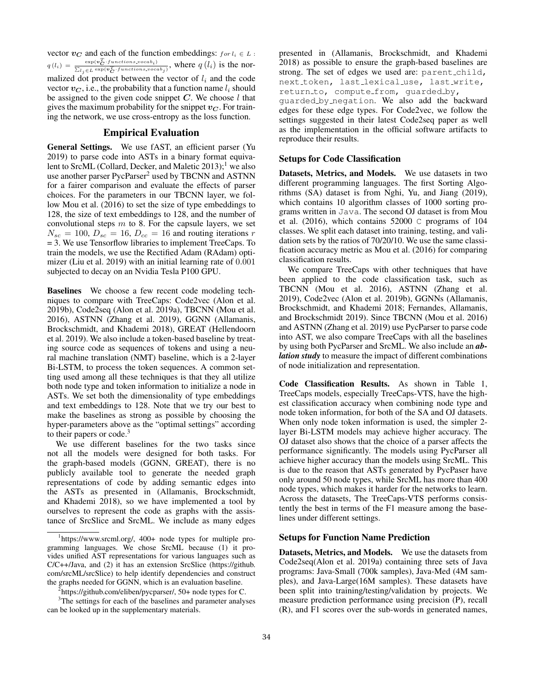vector  $v_C$  and each of the function embeddings:  $for l_i \in L$ :  $q(l_i) = \frac{\exp(\boldsymbol{v}_C^T \cdot functions.vocab_i)}{\sum_{i=1}^{\infty} \exp(\boldsymbol{v}_C^T \cdot f_{i, i, t(i+1)}, v_{i, t(i+2)})}$  $\frac{\exp(v_C \cdot functions.vocab_i)}{\sum_{l_j \in L} \exp(v_C^T \cdot functions.vocab_j)}$ , where  $q(l_i)$  is the normalized dot product between the vector of  $l_i$  and the code vector  $v_C$ , i.e., the probability that a function name  $l_i$  should be assigned to the given code snippet  $C$ . We choose  $l$  that gives the maximum probability for the snippet  $v_{\mathbf{C}}$ . For training the network, we use cross-entropy as the loss function.

# Empirical Evaluation

General Settings. We use fAST, an efficient parser (Yu 2019) to parse code into ASTs in a binary format equivalent to SrcML (Collard, Decker, and Maletic 2013);<sup>1</sup> we also use another parser PycParser<sup>2</sup> used by TBCNN and ASTNN for a fairer comparison and evaluate the effects of parser choices. For the parameters in our TBCNN layer, we follow Mou et al. (2016) to set the size of type embeddings to 128, the size of text embeddings to 128, and the number of convolutional steps  $m$  to 8. For the capsule layers, we set  $N_{sc} = 100$ ,  $D_{sc} = 16$ ,  $D_{cc} = 16$  and routing iterations r = 3. We use Tensorflow libraries to implement TreeCaps. To train the models, we use the Rectified Adam (RAdam) optimizer (Liu et al. 2019) with an initial learning rate of  $0.001$ subjected to decay on an Nvidia Tesla P100 GPU.

Baselines We choose a few recent code modeling techniques to compare with TreeCaps: Code2vec (Alon et al. 2019b), Code2seq (Alon et al. 2019a), TBCNN (Mou et al. 2016), ASTNN (Zhang et al. 2019), GGNN (Allamanis, Brockschmidt, and Khademi 2018), GREAT (Hellendoorn et al. 2019). We also include a token-based baseline by treating source code as sequences of tokens and using a neural machine translation (NMT) baseline, which is a 2-layer Bi-LSTM, to process the token sequences. A common setting used among all these techniques is that they all utilize both node type and token information to initialize a node in ASTs. We set both the dimensionality of type embeddings and text embeddings to 128. Note that we try our best to make the baselines as strong as possible by choosing the hyper-parameters above as the "optimal settings" according to their papers or code.<sup>3</sup>

We use different baselines for the two tasks since not all the models were designed for both tasks. For the graph-based models (GGNN, GREAT), there is no publicly available tool to generate the needed graph representations of code by adding semantic edges into the ASTs as presented in (Allamanis, Brockschmidt, and Khademi 2018), so we have implemented a tool by ourselves to represent the code as graphs with the assistance of SrcSlice and SrcML. We include as many edges

presented in (Allamanis, Brockschmidt, and Khademi 2018) as possible to ensure the graph-based baselines are strong. The set of edges we used are: parent\_child, next token, last lexical use, last write, return\_to, compute\_from, guarded\_by,

guarded by negation. We also add the backward edges for these edge types. For Code2vec, we follow the settings suggested in their latest Code2seq paper as well as the implementation in the official software artifacts to reproduce their results.

# Setups for Code Classification

Datasets, Metrics, and Models. We use datasets in two different programming languages. The first Sorting Algorithms (SA) dataset is from Nghi, Yu, and Jiang (2019), which contains 10 algorithm classes of 1000 sorting programs written in Java. The second OJ dataset is from Mou et al. (2016), which contains 52000 C programs of 104 classes. We split each dataset into training, testing, and validation sets by the ratios of 70/20/10. We use the same classification accuracy metric as Mou et al. (2016) for comparing classification results.

We compare TreeCaps with other techniques that have been applied to the code classification task, such as TBCNN (Mou et al. 2016), ASTNN (Zhang et al. 2019), Code2vec (Alon et al. 2019b), GGNNs (Allamanis, Brockschmidt, and Khademi 2018; Fernandes, Allamanis, and Brockschmidt 2019). Since TBCNN (Mou et al. 2016) and ASTNN (Zhang et al. 2019) use PycParser to parse code into AST, we also compare TreeCaps with all the baselines by using both PycParser and SrcML. We also include an *ablation study* to measure the impact of different combinations of node initialization and representation.

Code Classification Results. As shown in Table 1, TreeCaps models, especially TreeCaps-VTS, have the highest classification accuracy when combining node type and node token information, for both of the SA and OJ datasets. When only node token information is used, the simpler 2 layer Bi-LSTM models may achieve higher accuracy. The OJ dataset also shows that the choice of a parser affects the performance significantly. The models using PycParser all achieve higher accuracy than the models using SrcML. This is due to the reason that ASTs generated by PycPaser have only around 50 node types, while SrcML has more than 400 node types, which makes it harder for the networks to learn. Across the datasets, The TreeCaps-VTS performs consistently the best in terms of the F1 measure among the baselines under different settings.

# Setups for Function Name Prediction

Datasets, Metrics, and Models. We use the datasets from Code2seq(Alon et al. 2019a) containing three sets of Java programs: Java-Small (700k samples), Java-Med (4M samples), and Java-Large(16M samples). These datasets have been split into training/testing/validation by projects. We measure prediction performance using precision (P), recall (R), and F1 scores over the sub-words in generated names,

<sup>1</sup> https://www.srcml.org/, 400+ node types for multiple programming languages. We chose SrcML because (1) it provides unified AST representations for various languages such as C/C++/Java, and (2) it has an extension SrcSlice (https://github. com/srcML/srcSlice) to help identify dependencies and construct the graphs needed for GGNN, which is an evaluation baseline.

<sup>&</sup>lt;sup>2</sup>https://github.com/eliben/pycparser/, 50+ node types for C.

<sup>&</sup>lt;sup>3</sup>The settings for each of the baselines and parameter analyses can be looked up in the supplementary materials.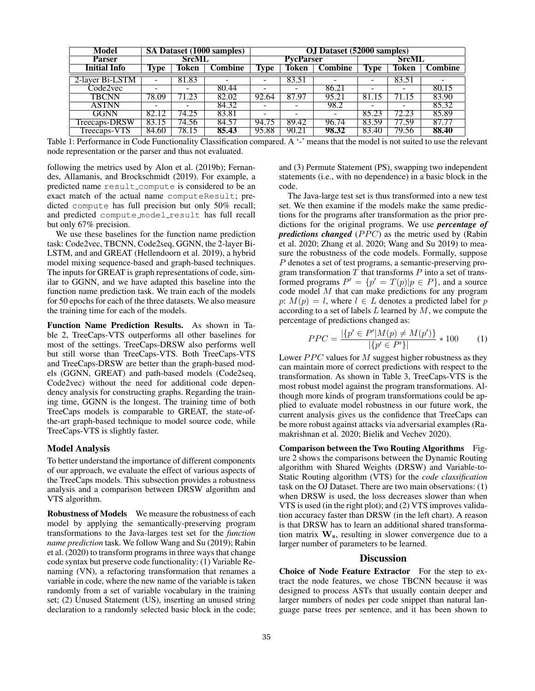| Model               |              |                          | SA Dataset (1000 samples) | <b>OJ</b> Dataset (52000 samples) |                  |                          |              |                          |         |  |
|---------------------|--------------|--------------------------|---------------------------|-----------------------------------|------------------|--------------------------|--------------|--------------------------|---------|--|
| <b>Parser</b>       | <b>SrcML</b> |                          |                           |                                   | <b>PycParser</b> |                          | <b>SrcML</b> |                          |         |  |
| <b>Initial Info</b> | Type         | Token                    | <b>Combine</b>            | Type                              | Token            | <b>Combine</b>           | <b>Type</b>  | Token                    | Combine |  |
| 2-layer Bi-LSTM     | ۰            | 81.83                    |                           |                                   | 83.51            |                          |              | 83.51                    |         |  |
| Code2vec            | -            | $\overline{\phantom{0}}$ | 80.44                     |                                   |                  | 86.21                    |              | $\overline{\phantom{0}}$ | 80.15   |  |
| <b>TBCNN</b>        | 78.09        | 71.23                    | 82.02                     | 92.64                             | 87.97            | 95.21                    | 81.15        |                          | 83.90   |  |
| <b>ASTNN</b>        |              |                          | 84.32                     |                                   |                  | 98.2                     |              |                          | 85.32   |  |
| GGNN                | 82.12        | 74.25                    | 83.81                     |                                   |                  | $\overline{\phantom{0}}$ | 85.23        | 72.23                    | 85.89   |  |
| Treecaps-DRSW       | 83.15        | 74.56                    | 84.57                     | 94.75                             | 89.42            | 96.74                    | 83.59        | 77.59                    | 87.77   |  |
| Treecaps-VTS        | 84.60        | 78.15                    | 85.43                     | 95.88                             | 90.21            | 98.32                    | 83.40        | 79.56                    | 88.40   |  |

Table 1: Performance in Code Functionality Classification compared. A '-' means that the model is not suited to use the relevant node representation or the parser and thus not evaluated.

following the metrics used by Alon et al. (2019b); Fernandes, Allamanis, and Brockschmidt (2019). For example, a predicted name result compute is considered to be an exact match of the actual name computeResult; predicted compute has full precision but only 50% recall; and predicted compute model result has full recall but only 67% precision.

We use these baselines for the function name prediction task: Code2vec, TBCNN, Code2seq, GGNN, the 2-layer Bi-LSTM, and and GREAT (Hellendoorn et al. 2019), a hybrid model mixing sequence-based and graph-based techniques. The inputs for GREAT is graph representations of code, similar to GGNN, and we have adapted this baseline into the function name prediction task. We train each of the models for 50 epochs for each of the three datasets. We also measure the training time for each of the models.

Function Name Prediction Results. As shown in Table 2, TreeCaps-VTS outperforms all other baselines for most of the settings. TreeCaps-DRSW also performs well but still worse than TreeCaps-VTS. Both TreeCaps-VTS and TreeCaps-DRSW are better than the graph-based models (GGNN, GREAT) and path-based models (Code2seq, Code2vec) without the need for additional code dependency analysis for constructing graphs. Regarding the training time, GGNN is the longest. The training time of both TreeCaps models is comparable to GREAT, the state-ofthe-art graph-based technique to model source code, while TreeCaps-VTS is slightly faster.

### Model Analysis

To better understand the importance of different components of our approach, we evaluate the effect of various aspects of the TreeCaps models. This subsection provides a robustness analysis and a comparison between DRSW algorithm and VTS algorithm.

Robustness of Models We measure the robustness of each model by applying the semantically-preserving program transformations to the Java-larges test set for the *function name prediction* task. We follow Wang and Su (2019); Rabin et al. (2020) to transform programs in three ways that change code syntax but preserve code functionality: (1) Variable Renaming (VN), a refactoring transformation that renames a variable in code, where the new name of the variable is taken randomly from a set of variable vocabulary in the training set; (2) Unused Statement (US), inserting an unused string declaration to a randomly selected basic block in the code;

and (3) Permute Statement (PS), swapping two independent statements (i.e., with no dependence) in a basic block in the code.

The Java-large test set is thus transformed into a new test set. We then examine if the models make the same predictions for the programs after transformation as the prior predictions for the original programs. We use *percentage of predictions changed* (*PPC*) as the metric used by (Rabin et al. 2020; Zhang et al. 2020; Wang and Su 2019) to measure the robustness of the code models. Formally, suppose P denotes a set of test programs, a semantic-preserving program transformation  $T$  that transforms  $P$  into a set of transformed programs  $P' = \{p' = T(p)|p \in P\}$ , and a source code model M that can make predictions for any program p:  $M(p) = l$ , where  $l \in L$  denotes a predicted label for p according to a set of labels  $L$  learned by  $M$ , we compute the percentage of predictions changed as:

$$
PPC = \frac{|\{p' \in P'|M(p) \neq M(p')\}}{|\{p' \in P'\}|} * 100 \tag{1}
$$

Lower  $PPC$  values for  $M$  suggest higher robustness as they can maintain more of correct predictions with respect to the transformation. As shown in Table 3, TreeCaps-VTS is the most robust model against the program transformations. Although more kinds of program transformations could be applied to evaluate model robustness in our future work, the current analysis gives us the confidence that TreeCaps can be more robust against attacks via adversarial examples (Ramakrishnan et al. 2020; Bielik and Vechev 2020).

Comparison between the Two Routing Algorithms Figure 2 shows the comparisons between the Dynamic Routing algorithm with Shared Weights (DRSW) and Variable-to-Static Routing algorithm (VTS) for the *code classification* task on the OJ Dataset. There are two main observations: (1) when DRSW is used, the loss decreases slower than when VTS is used (in the right plot); and (2) VTS improves validation accuracy faster than DRSW (in the left chart). A reason is that DRSW has to learn an additional shared transformation matrix  $W_s$ , resulting in slower convergence due to a larger number of parameters to be learned.

# **Discussion**

Choice of Node Feature Extractor For the step to extract the node features, we chose TBCNN because it was designed to process ASTs that usually contain deeper and larger numbers of nodes per code snippet than natural language parse trees per sentence, and it has been shown to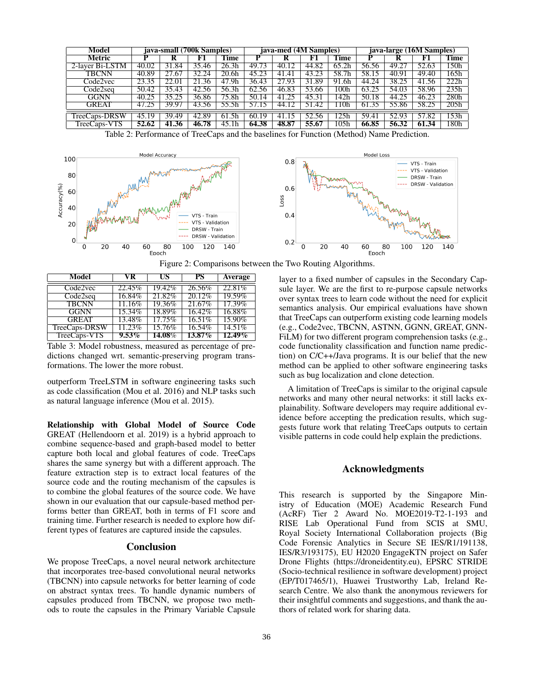| Model           | java-small (700k Samples) |       |           |                   | java-med (4M Samples) |                     |       |          | java-large (16M Samples) |       |       |      |
|-----------------|---------------------------|-------|-----------|-------------------|-----------------------|---------------------|-------|----------|--------------------------|-------|-------|------|
| Metric          |                           |       |           | Time              |                       |                     |       | l'ime    |                          |       |       | Time |
| 2-layer Bi-LSTM | 40.02                     | 31.84 | .46<br>35 | 26.3h             | 49.73                 | 40.12               | 44.82 | 65.2h    | 56.56                    | 49.2  | 52.63 | 150h |
| TBCNN           | 40.89                     | 27.67 | 32.<br>24 | 20.6 <sub>h</sub> | 45.23                 | $\mathcal{A}$<br>41 | 43.23 | 58<br>7h | 58.15                    | 40.91 | 49.40 | 165h |
| Code2vec        | 23.35                     | 22.01 | 21<br>.36 | 47.9h             | 36.43                 | 27.93               | 31.89 | 91.6h    | 44.24                    | 38.25 | 41.56 | 222h |
| Code2seq        | 50.42                     | 35.43 | 42.56     | 56.3h             | 62.56                 | 46.83               | 53.66 | 00h      | 63.25                    | 54.03 | 58.96 | 235h |
| GGNN            | 40.25                     | 35.25 | 36.86     | 75.8h             | 50.14                 | 41                  | 45.3  | .42h     | 50.18                    | 44.25 | 46.23 | 280h |
| <b>GREAT</b>    | 47.25                     | 39.97 | 43.56     | 55.5h             | 57                    | 44.12               | 51.42 | 10h      | 61.35                    | 55.86 | 58.25 | 205h |
| TreeCaps-DRSW   | 45.19                     | 39.49 | 42.89     | 61.5h             | 60.19                 | 41                  | 52.56 | 25h      | 59.41                    | 52.93 | 57.82 | 153h |
| TreeCaps-VTS    | 52.62                     | 41.36 | 46.78     | 45.1h             | 64.38                 | 48.87               | 55.67 | 105h     | 66.85                    | 56.32 | 61.34 | 180h |

Table 2: Performance of TreeCaps and the baselines for Function (Method) Name Prediction.



Figure 2: Comparisons between the Two Routing Algorithms.

| Model         | VR        | US        | PS        | Average   |
|---------------|-----------|-----------|-----------|-----------|
| Code2vec      | 22.45%    | 19.42%    | 26.56%    | 22.81\%   |
| Code2seq      | 16.84%    | 21.82%    | $20.12\%$ | 19.59%    |
| <b>TBCNN</b>  | $11.16\%$ | $19.36\%$ | 21.67%    | 17.39%    |
| GGNN          | 15.34%    | 18.89%    | 16.42%    | $16.88\%$ |
| <b>GREAT</b>  | 13.48%    | 17.75%    | 16.51%    | 15.90%    |
| TreeCaps-DRSW | $11.23\%$ | 15.76%    | 16.54%    | 14.51%    |
| TreeCaps-VTS  | $9.53\%$  | 14.08%    | $13.87\%$ | $12.49\%$ |

Table 3: Model robustness, measured as percentage of predictions changed wrt. semantic-preserving program transformations. The lower the more robust.

outperform TreeLSTM in software engineering tasks such as code classification (Mou et al. 2016) and NLP tasks such as natural language inference (Mou et al. 2015).

Relationship with Global Model of Source Code GREAT (Hellendoorn et al. 2019) is a hybrid approach to combine sequence-based and graph-based model to better capture both local and global features of code. TreeCaps shares the same synergy but with a different approach. The feature extraction step is to extract local features of the source code and the routing mechanism of the capsules is to combine the global features of the source code. We have shown in our evaluation that our capsule-based method performs better than GREAT, both in terms of F1 score and training time. Further research is needed to explore how different types of features are captured inside the capsules.

# **Conclusion**

We propose TreeCaps, a novel neural network architecture that incorporates tree-based convolutional neural networks (TBCNN) into capsule networks for better learning of code on abstract syntax trees. To handle dynamic numbers of capsules produced from TBCNN, we propose two methods to route the capsules in the Primary Variable Capsule layer to a fixed number of capsules in the Secondary Capsule layer. We are the first to re-purpose capsule networks over syntax trees to learn code without the need for explicit semantics analysis. Our empirical evaluations have shown that TreeCaps can outperform existing code learning models (e.g., Code2vec, TBCNN, ASTNN, GGNN, GREAT, GNN-FiLM) for two different program comprehension tasks (e.g., code functionality classification and function name prediction) on C/C++/Java programs. It is our belief that the new method can be applied to other software engineering tasks such as bug localization and clone detection.

A limitation of TreeCaps is similar to the original capsule networks and many other neural networks: it still lacks explainability. Software developers may require additional evidence before accepting the predication results, which suggests future work that relating TreeCaps outputs to certain visible patterns in code could help explain the predictions.

# Acknowledgments

This research is supported by the Singapore Ministry of Education (MOE) Academic Research Fund (AcRF) Tier 2 Award No. MOE2019-T2-1-193 and RISE Lab Operational Fund from SCIS at SMU, Royal Society International Collaboration projects (Big Code Forensic Analytics in Secure SE IES/R1/191138, IES/R3/193175), EU H2020 EngageKTN project on Safer Drone Flights (https://droneidentity.eu), EPSRC STRIDE (Socio-technical resilience in software development) project (EP/T017465/1), Huawei Trustworthy Lab, Ireland Research Centre. We also thank the anonymous reviewers for their insightful comments and suggestions, and thank the authors of related work for sharing data.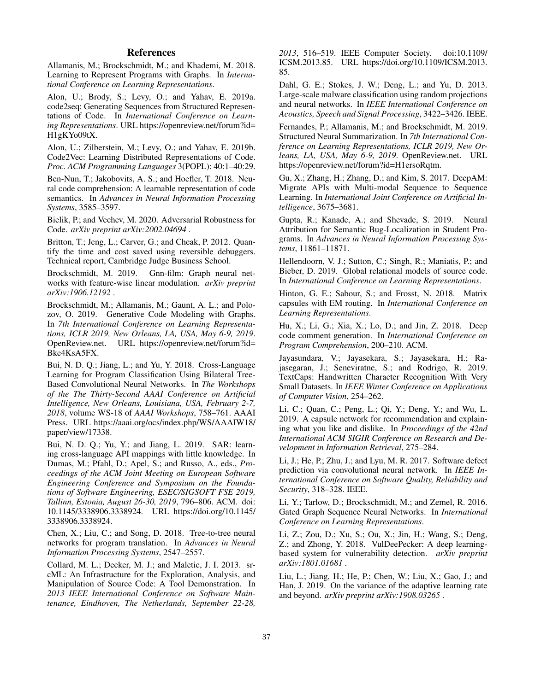# References

Allamanis, M.; Brockschmidt, M.; and Khademi, M. 2018. Learning to Represent Programs with Graphs. In *International Conference on Learning Representations*.

Alon, U.; Brody, S.; Levy, O.; and Yahav, E. 2019a. code2seq: Generating Sequences from Structured Representations of Code. In *International Conference on Learning Representations*. URL https://openreview.net/forum?id= H1gKYo09tX.

Alon, U.; Zilberstein, M.; Levy, O.; and Yahav, E. 2019b. Code2Vec: Learning Distributed Representations of Code. *Proc. ACM Programming Languages* 3(POPL): 40:1–40:29.

Ben-Nun, T.; Jakobovits, A. S.; and Hoefler, T. 2018. Neural code comprehension: A learnable representation of code semantics. In *Advances in Neural Information Processing Systems*, 3585–3597.

Bielik, P.; and Vechev, M. 2020. Adversarial Robustness for Code. *arXiv preprint arXiv:2002.04694* .

Britton, T.; Jeng, L.; Carver, G.; and Cheak, P. 2012. Quantify the time and cost saved using reversible debuggers. Technical report, Cambridge Judge Business School.

Brockschmidt, M. 2019. Gnn-film: Graph neural networks with feature-wise linear modulation. *arXiv preprint arXiv:1906.12192* .

Brockschmidt, M.; Allamanis, M.; Gaunt, A. L.; and Polozov, O. 2019. Generative Code Modeling with Graphs. In *7th International Conference on Learning Representations, ICLR 2019, New Orleans, LA, USA, May 6-9, 2019*. OpenReview.net. URL https://openreview.net/forum?id= Bke4KsA5FX.

Bui, N. D. Q.; Jiang, L.; and Yu, Y. 2018. Cross-Language Learning for Program Classification Using Bilateral Tree-Based Convolutional Neural Networks. In *The Workshops of the The Thirty-Second AAAI Conference on Artificial Intelligence, New Orleans, Louisiana, USA, February 2-7, 2018*, volume WS-18 of *AAAI Workshops*, 758–761. AAAI Press. URL https://aaai.org/ocs/index.php/WS/AAAIW18/ paper/view/17338.

Bui, N. D. Q.; Yu, Y.; and Jiang, L. 2019. SAR: learning cross-language API mappings with little knowledge. In Dumas, M.; Pfahl, D.; Apel, S.; and Russo, A., eds., *Proceedings of the ACM Joint Meeting on European Software Engineering Conference and Symposium on the Foundations of Software Engineering, ESEC/SIGSOFT FSE 2019, Tallinn, Estonia, August 26-30, 2019*, 796–806. ACM. doi: 10.1145/3338906.3338924. URL https://doi.org/10.1145/ 3338906.3338924.

Chen, X.; Liu, C.; and Song, D. 2018. Tree-to-tree neural networks for program translation. In *Advances in Neural Information Processing Systems*, 2547–2557.

Collard, M. L.; Decker, M. J.; and Maletic, J. I. 2013. srcML: An Infrastructure for the Exploration, Analysis, and Manipulation of Source Code: A Tool Demonstration. In *2013 IEEE International Conference on Software Maintenance, Eindhoven, The Netherlands, September 22-28,*

*2013*, 516–519. IEEE Computer Society. doi:10.1109/ ICSM.2013.85. URL https://doi.org/10.1109/ICSM.2013. 85.

Dahl, G. E.; Stokes, J. W.; Deng, L.; and Yu, D. 2013. Large-scale malware classification using random projections and neural networks. In *IEEE International Conference on Acoustics, Speech and Signal Processing*, 3422–3426. IEEE.

Fernandes, P.; Allamanis, M.; and Brockschmidt, M. 2019. Structured Neural Summarization. In *7th International Conference on Learning Representations, ICLR 2019, New Orleans, LA, USA, May 6-9, 2019*. OpenReview.net. URL https://openreview.net/forum?id=H1ersoRqtm.

Gu, X.; Zhang, H.; Zhang, D.; and Kim, S. 2017. DeepAM: Migrate APIs with Multi-modal Sequence to Sequence Learning. In *International Joint Conference on Artificial Intelligence*, 3675–3681.

Gupta, R.; Kanade, A.; and Shevade, S. 2019. Neural Attribution for Semantic Bug-Localization in Student Programs. In *Advances in Neural Information Processing Systems*, 11861–11871.

Hellendoorn, V. J.; Sutton, C.; Singh, R.; Maniatis, P.; and Bieber, D. 2019. Global relational models of source code. In *International Conference on Learning Representations*.

Hinton, G. E.; Sabour, S.; and Frosst, N. 2018. Matrix capsules with EM routing. In *International Conference on Learning Representations*.

Hu, X.; Li, G.; Xia, X.; Lo, D.; and Jin, Z. 2018. Deep code comment generation. In *International Conference on Program Comprehension*, 200–210. ACM.

Jayasundara, V.; Jayasekara, S.; Jayasekara, H.; Rajasegaran, J.; Seneviratne, S.; and Rodrigo, R. 2019. TextCaps: Handwritten Character Recognition With Very Small Datasets. In *IEEE Winter Conference on Applications of Computer Vision*, 254–262.

Li, C.; Quan, C.; Peng, L.; Qi, Y.; Deng, Y.; and Wu, L. 2019. A capsule network for recommendation and explaining what you like and dislike. In *Proceedings of the 42nd International ACM SIGIR Conference on Research and Development in Information Retrieval*, 275–284.

Li, J.; He, P.; Zhu, J.; and Lyu, M. R. 2017. Software defect prediction via convolutional neural network. In *IEEE International Conference on Software Quality, Reliability and Security*, 318–328. IEEE.

Li, Y.; Tarlow, D.; Brockschmidt, M.; and Zemel, R. 2016. Gated Graph Sequence Neural Networks. In *International Conference on Learning Representations*.

Li, Z.; Zou, D.; Xu, S.; Ou, X.; Jin, H.; Wang, S.; Deng, Z.; and Zhong, Y. 2018. VulDeePecker: A deep learningbased system for vulnerability detection. *arXiv preprint arXiv:1801.01681* .

Liu, L.; Jiang, H.; He, P.; Chen, W.; Liu, X.; Gao, J.; and Han, J. 2019. On the variance of the adaptive learning rate and beyond. *arXiv preprint arXiv:1908.03265* .